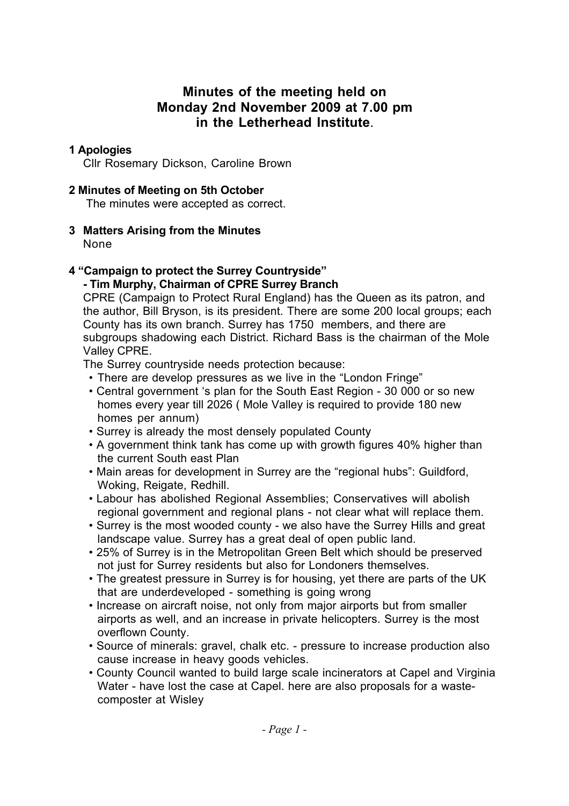## **Minutes of the meeting held on Monday 2nd November 2009 at 7.00 pm in the Letherhead Institute**.

## **1 Apologies**

Cllr Rosemary Dickson, Caroline Brown

## **2 Minutes of Meeting on 5th October**

The minutes were accepted as correct.

# **3 Matters Arising from the Minutes**

None

#### **4 "Campaign to protect the Surrey Countryside" - Tim Murphy, Chairman of CPRE Surrey Branch**

CPRE (Campaign to Protect Rural England) has the Queen as its patron, and the author, Bill Bryson, is its president. There are some 200 local groups; each County has its own branch. Surrey has 1750 members, and there are subgroups shadowing each District. Richard Bass is the chairman of the Mole Valley CPRE.

The Surrey countryside needs protection because:

- There are develop pressures as we live in the "London Fringe"
- Central government 's plan for the South East Region 30 000 or so new homes every year till 2026 ( Mole Valley is required to provide 180 new homes per annum)
- Surrey is already the most densely populated County
- A government think tank has come up with growth figures 40% higher than the current South east Plan
- Main areas for development in Surrey are the "regional hubs": Guildford, Woking, Reigate, Redhill.
- Labour has abolished Regional Assemblies; Conservatives will abolish regional government and regional plans - not clear what will replace them.
- Surrey is the most wooded county we also have the Surrey Hills and great landscape value. Surrey has a great deal of open public land.
- 25% of Surrey is in the Metropolitan Green Belt which should be preserved not just for Surrey residents but also for Londoners themselves.
- The greatest pressure in Surrey is for housing, yet there are parts of the UK that are underdeveloped - something is going wrong
- Increase on aircraft noise, not only from major airports but from smaller airports as well, and an increase in private helicopters. Surrey is the most overflown County.
- Source of minerals: gravel, chalk etc. pressure to increase production also cause increase in heavy goods vehicles.
- County Council wanted to build large scale incinerators at Capel and Virginia Water - have lost the case at Capel. here are also proposals for a wastecomposter at Wisley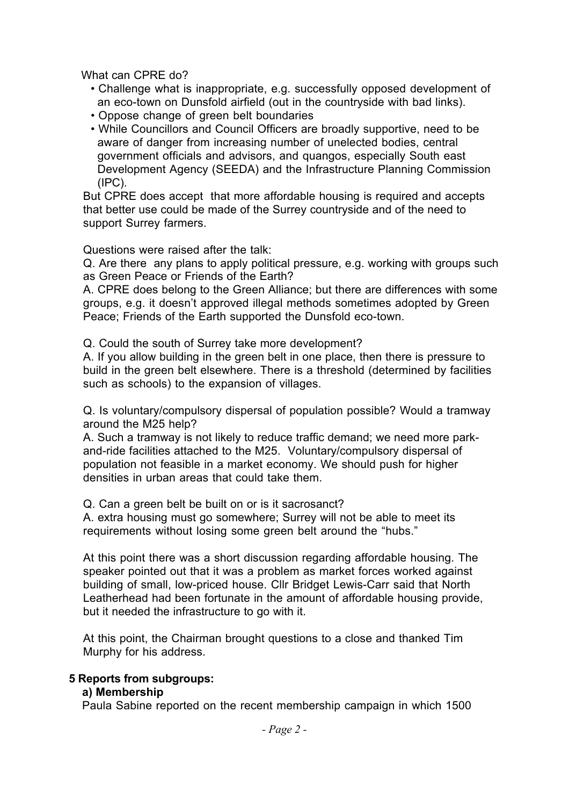What can CPRE do?

- Challenge what is inappropriate, e.g. successfully opposed development of an eco-town on Dunsfold airfield (out in the countryside with bad links).
- Oppose change of green belt boundaries
- While Councillors and Council Officers are broadly supportive, need to be aware of danger from increasing number of unelected bodies, central government officials and advisors, and quangos, especially South east Development Agency (SEEDA) and the Infrastructure Planning Commission (IPC).

But CPRE does accept that more affordable housing is required and accepts that better use could be made of the Surrey countryside and of the need to support Surrey farmers.

Questions were raised after the talk:

Q. Are there any plans to apply political pressure, e.g. working with groups such as Green Peace or Friends of the Earth?

A. CPRE does belong to the Green Alliance; but there are differences with some groups, e.g. it doesn't approved illegal methods sometimes adopted by Green Peace; Friends of the Earth supported the Dunsfold eco-town.

Q. Could the south of Surrey take more development?

A. If you allow building in the green belt in one place, then there is pressure to build in the green belt elsewhere. There is a threshold (determined by facilities such as schools) to the expansion of villages.

Q. Is voluntary/compulsory dispersal of population possible? Would a tramway around the M25 help?

A. Such a tramway is not likely to reduce traffic demand; we need more parkand-ride facilities attached to the M25. Voluntary/compulsory dispersal of population not feasible in a market economy. We should push for higher densities in urban areas that could take them.

Q. Can a green belt be built on or is it sacrosanct?

A. extra housing must go somewhere; Surrey will not be able to meet its requirements without losing some green belt around the "hubs."

At this point there was a short discussion regarding affordable housing. The speaker pointed out that it was a problem as market forces worked against building of small, low-priced house. Cllr Bridget Lewis-Carr said that North Leatherhead had been fortunate in the amount of affordable housing provide, but it needed the infrastructure to go with it.

At this point, the Chairman brought questions to a close and thanked Tim Murphy for his address.

#### **5 Reports from subgroups:**

#### **a) Membership**

Paula Sabine reported on the recent membership campaign in which 1500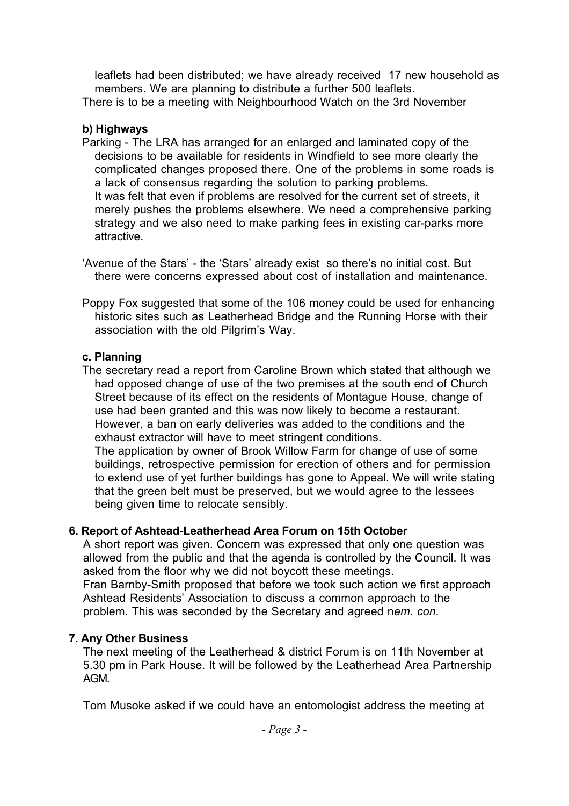leaflets had been distributed; we have already received 17 new household as members. We are planning to distribute a further 500 leaflets. There is to be a meeting with Neighbourhood Watch on the 3rd November

### **b) Highways**

- Parking The LRA has arranged for an enlarged and laminated copy of the decisions to be available for residents in Windfield to see more clearly the complicated changes proposed there. One of the problems in some roads is a lack of consensus regarding the solution to parking problems. It was felt that even if problems are resolved for the current set of streets, it merely pushes the problems elsewhere. We need a comprehensive parking strategy and we also need to make parking fees in existing car-parks more attractive.
- 'Avenue of the Stars' the 'Stars' already exist so there's no initial cost. But there were concerns expressed about cost of installation and maintenance.
- Poppy Fox suggested that some of the 106 money could be used for enhancing historic sites such as Leatherhead Bridge and the Running Horse with their association with the old Pilgrim's Way.

## **c. Planning**

The secretary read a report from Caroline Brown which stated that although we had opposed change of use of the two premises at the south end of Church Street because of its effect on the residents of Montague House, change of use had been granted and this was now likely to become a restaurant. However, a ban on early deliveries was added to the conditions and the exhaust extractor will have to meet stringent conditions.

The application by owner of Brook Willow Farm for change of use of some buildings, retrospective permission for erection of others and for permission to extend use of yet further buildings has gone to Appeal. We will write stating that the green belt must be preserved, but we would agree to the lessees being given time to relocate sensibly.

## **6. Report of Ashtead-Leatherhead Area Forum on 15th October**

A short report was given. Concern was expressed that only one question was allowed from the public and that the agenda is controlled by the Council. It was asked from the floor why we did not boycott these meetings. Fran Barnby-Smith proposed that before we took such action we first approach Ashtead Residents' Association to discuss a common approach to the problem. This was seconded by the Secretary and agreed n*em. con*.

## **7. Any Other Business**

The next meeting of the Leatherhead & district Forum is on 11th November at 5.30 pm in Park House. It will be followed by the Leatherhead Area Partnership AGM.

Tom Musoke asked if we could have an entomologist address the meeting at